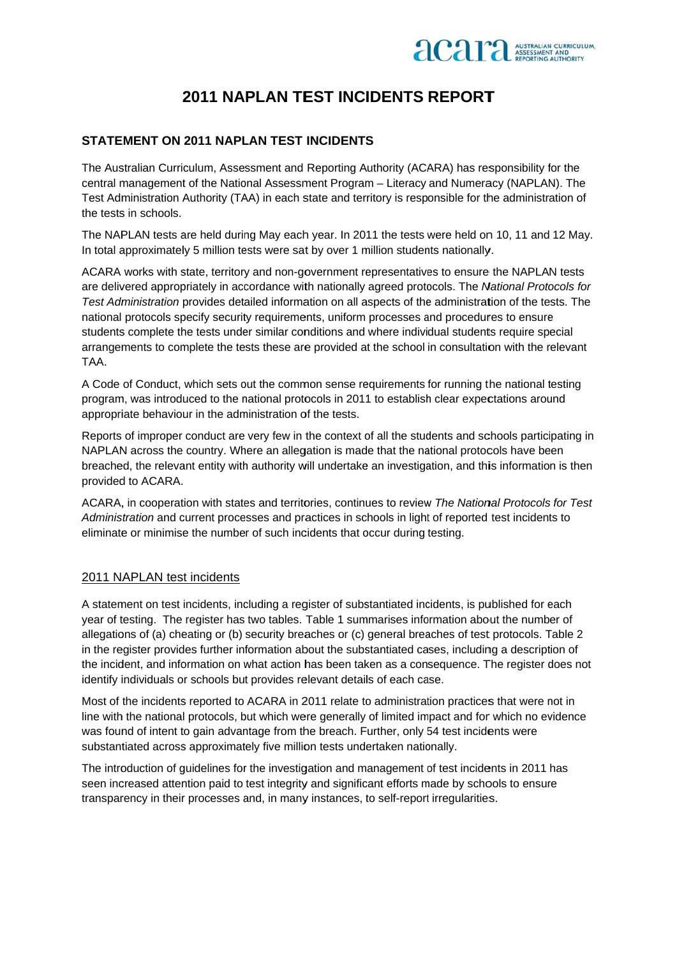

# 2011 NAPI AN TEST INCIDENTS REPORT

#### **STATEMENT ON 2011 NAPLAN TEST INCIDENTS**

The Australian Curriculum, Assessment and Reporting Authority (ACARA) has responsibility for the central management of the National Assessment Program - Literacy and Numeracy (NAPLAN). The Test Administration Authority (TAA) in each state and territory is responsible for the administration of the tests in schools.

The NAPLAN tests are held during May each year. In 2011 the tests were held on 10, 11 and 12 May. In total approximately 5 million tests were sat by over 1 million students nationally.

ACARA works with state, territory and non-government representatives to ensure the NAPLAN tests are delivered appropriately in accordance with nationally agreed protocols. The National Protocols for Test Administration provides detailed information on all aspects of the administration of the tests. The national protocols specify security requirements, uniform processes and procedures to ensure students complete the tests under similar conditions and where individual students require special arrangements to complete the tests these are provided at the school in consultation with the relevant TAA.

A Code of Conduct, which sets out the common sense requirements for running the national testing program, was introduced to the national protocols in 2011 to establish clear expectations around appropriate behaviour in the administration of the tests.

Reports of improper conduct are very few in the context of all the students and schools participating in NAPLAN across the country. Where an allegation is made that the national protocols have been breached, the relevant entity with authority will undertake an investigation, and this information is then provided to ACARA.

ACARA, in cooperation with states and territories, continues to review The National Protocols for Test Administration and current processes and practices in schools in light of reported test incidents to eliminate or minimise the number of such incidents that occur during testing.

#### 2011 NAPLAN test incidents

A statement on test incidents, including a register of substantiated incidents, is published for each year of testing. The register has two tables. Table 1 summarises information about the number of allegations of (a) cheating or (b) security breaches or (c) general breaches of test protocols. Table 2 in the register provides further information about the substantiated cases, including a description of the incident, and information on what action has been taken as a consequence. The register does not identify individuals or schools but provides relevant details of each case.

Most of the incidents reported to ACARA in 2011 relate to administration practices that were not in line with the national protocols, but which were generally of limited impact and for which no evidence was found of intent to gain advantage from the breach. Further, only 54 test incidents were substantiated across approximately five million tests undertaken nationally.

The introduction of quidelines for the investigation and management of test incidents in 2011 has seen increased attention paid to test integrity and significant efforts made by schools to ensure transparency in their processes and, in many instances, to self-report irregularities.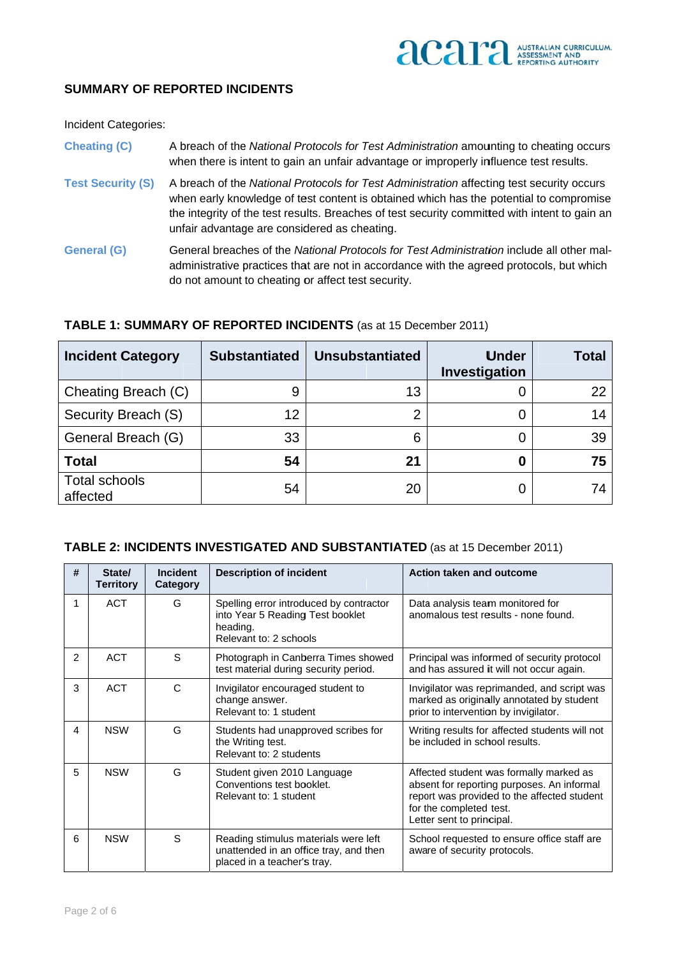## **SUMMARY OF REPORTED INCIDENTS**

**Incident Categories:** 

**Cheating (C)** A breach of the National Protocols for Test Administration amounting to cheating occurs when there is intent to gain an unfair advantage or improperly influence test results.

- **Test Security (S)** A breach of the National Protocols for Test Administration affecting test security occurs when early knowledge of test content is obtained which has the potential to compromise the integrity of the test results. Breaches of test security committed with intent to gain an unfair advantage are considered as cheating.
- **General (G)** General breaches of the National Protocols for Test Administration include all other maladministrative practices that are not in accordance with the agreed protocols, but which do not amount to cheating or affect test security.

| <b>Incident Category</b>         | <b>Substantiated</b> | <b>Unsubstantiated</b> | <b>Under</b><br>Investigation | Total |
|----------------------------------|----------------------|------------------------|-------------------------------|-------|
| Cheating Breach (C)              | 9                    | 13                     |                               | 22    |
| Security Breach (S)              | 12                   | 2                      | O                             | 14    |
| General Breach (G)               | 33                   | 6                      | 0                             | 39    |
| <b>Total</b>                     | 54                   | 21                     | 0                             | 75    |
| <b>Total schools</b><br>affected | 54                   | 20                     |                               | 74    |

## TABLE 1: SUMMARY OF REPORTED INCIDENTS (as at 15 December 2011)

#### TABLE 2: INCIDENTS INVESTIGATED AND SUBSTANTIATED (as at 15 December 2011)

| #              | State/<br><b>Territory</b> | <b>Incident</b><br>Category | <b>Description of incident</b>                                                                                    | Action taken and outcome                                                                                                                                                                     |
|----------------|----------------------------|-----------------------------|-------------------------------------------------------------------------------------------------------------------|----------------------------------------------------------------------------------------------------------------------------------------------------------------------------------------------|
| 1              | <b>ACT</b>                 | G                           | Spelling error introduced by contractor<br>into Year 5 Reading Test booklet<br>heading.<br>Relevant to: 2 schools | Data analysis team monitored for<br>anomalous test results - none found.                                                                                                                     |
| $\mathfrak{p}$ | <b>ACT</b>                 | S                           | Photograph in Canberra Times showed<br>test material during security period.                                      | Principal was informed of security protocol<br>and has assured it will not occur again.                                                                                                      |
| 3              | <b>ACT</b>                 | $\mathsf{C}$                | Invigilator encouraged student to<br>change answer.<br>Relevant to: 1 student                                     | Invigilator was reprimanded, and script was<br>marked as originally annotated by student<br>prior to intervention by invigilator.                                                            |
| 4              | <b>NSW</b>                 | G                           | Students had unapproved scribes for<br>the Writing test.<br>Relevant to: 2 students                               | Writing results for affected students will not<br>be included in school results.                                                                                                             |
| 5              | <b>NSW</b>                 | G                           | Student given 2010 Language<br>Conventions test booklet.<br>Relevant to: 1 student                                | Affected student was formally marked as<br>absent for reporting purposes. An informal<br>report was provided to the affected student<br>for the completed test.<br>Letter sent to principal. |
| 6              | <b>NSW</b>                 | S                           | Reading stimulus materials were left<br>unattended in an office tray, and then<br>placed in a teacher's tray.     | School requested to ensure office staff are<br>aware of security protocols.                                                                                                                  |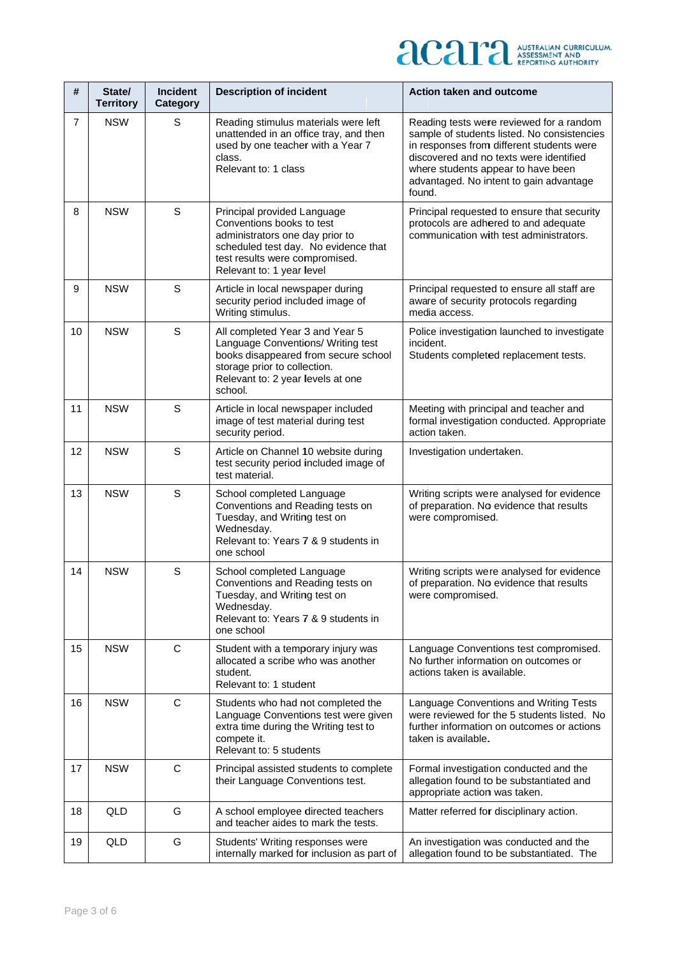# **ACAPA** AUSTRALIAN CURRICULUM,

| #              | State/<br><b>Territory</b> | <b>Incident</b><br>Category | <b>Description of incident</b>                                                                                                                                                                     | Action taken and outcome                                                                                                                                                                                                                                                   |
|----------------|----------------------------|-----------------------------|----------------------------------------------------------------------------------------------------------------------------------------------------------------------------------------------------|----------------------------------------------------------------------------------------------------------------------------------------------------------------------------------------------------------------------------------------------------------------------------|
| $\overline{7}$ | <b>NSW</b>                 | S                           | Reading stimulus materials were left<br>unattended in an office tray, and then<br>used by one teacher with a Year 7<br>class.<br>Relevant to: 1 class                                              | Reading tests were reviewed for a random<br>sample of students listed. No consistencies<br>in responses from different students were<br>discovered and no texts were identified<br>where students appear to have been<br>advantaged. No intent to gain advantage<br>found. |
| 8              | <b>NSW</b>                 | S                           | Principal provided Language<br>Conventions books to test<br>administrators one day prior to<br>scheduled test day. No evidence that<br>test results were compromised.<br>Relevant to: 1 year level | Principal requested to ensure that security<br>protocols are adhered to and adequate<br>communication with test administrators.                                                                                                                                            |
| 9              | <b>NSW</b>                 | S                           | Article in local newspaper during<br>security period included image of<br>Writing stimulus.                                                                                                        | Principal requested to ensure all staff are<br>aware of security protocols regarding<br>media access.                                                                                                                                                                      |
| 10             | <b>NSW</b>                 | $\mathsf S$                 | All completed Year 3 and Year 5<br>Language Conventions/ Writing test<br>books disappeared from secure school<br>storage prior to collection.<br>Relevant to: 2 year levels at one<br>school.      | Police investigation launched to investigate<br>incident.<br>Students completed replacement tests.                                                                                                                                                                         |
| 11             | <b>NSW</b>                 | S                           | Article in local newspaper included<br>image of test material during test<br>security period.                                                                                                      | Meeting with principal and teacher and<br>formal investigation conducted. Appropriate<br>action taken.                                                                                                                                                                     |
| 12             | <b>NSW</b>                 | S                           | Article on Channel 10 website during<br>test security period included image of<br>test material.                                                                                                   | Investigation undertaken.                                                                                                                                                                                                                                                  |
| 13             | <b>NSW</b>                 | $\mathsf S$                 | School completed Language<br>Conventions and Reading tests on<br>Tuesday, and Writing test on<br>Wednesday.<br>Relevant to: Years 7 & 9 students in<br>one school                                  | Writing scripts were analysed for evidence<br>of preparation. No evidence that results<br>were compromised.                                                                                                                                                                |
| 14             | <b>NSW</b>                 | $\mathsf S$                 | School completed Language<br>Conventions and Reading tests on<br>Tuesday, and Writing test on<br>Wednesday.<br>Relevant to: Years 7 & 9 students in<br>one school                                  | Writing scripts were analysed for evidence<br>of preparation. No evidence that results<br>were compromised.                                                                                                                                                                |
| 15             | <b>NSW</b>                 | $\mathsf{C}$                | Student with a temporary injury was<br>allocated a scribe who was another<br>student.<br>Relevant to: 1 student                                                                                    | Language Conventions test compromised.<br>No further information on outcomes or<br>actions taken is available.                                                                                                                                                             |
| 16             | <b>NSW</b>                 | C                           | Students who had not completed the<br>Language Conventions test were given<br>extra time during the Writing test to<br>compete it.<br>Relevant to: 5 students                                      | Language Conventions and Writing Tests<br>were reviewed for the 5 students listed. No<br>further information on outcomes or actions<br>taken is available.                                                                                                                 |
| 17             | <b>NSW</b>                 | C                           | Principal assisted students to complete<br>their Language Conventions test.                                                                                                                        | Formal investigation conducted and the<br>allegation found to be substantiated and<br>appropriate action was taken.                                                                                                                                                        |
| 18             | QLD                        | G                           | A school employee directed teachers<br>and teacher aides to mark the tests.                                                                                                                        | Matter referred for disciplinary action.                                                                                                                                                                                                                                   |
| 19             | QLD                        | G                           | Students' Writing responses were<br>internally marked for inclusion as part of                                                                                                                     | An investigation was conducted and the<br>allegation found to be substantiated. The                                                                                                                                                                                        |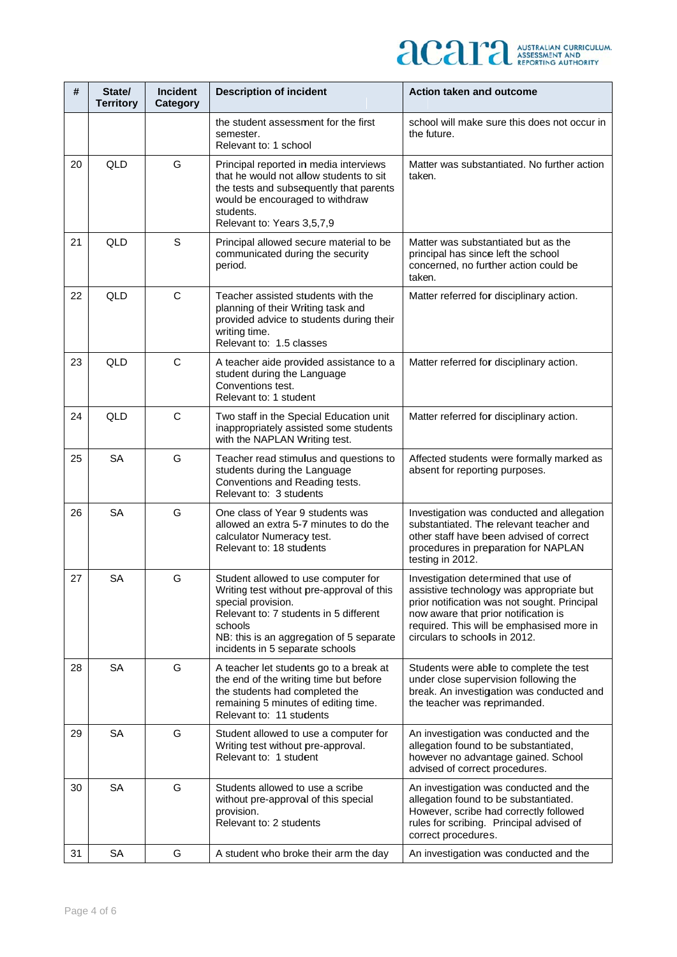

| #  | State/<br><b>Territory</b> | <b>Incident</b><br>Category | <b>Description of incident</b>                                                                                                                                                                                                             | Action taken and outcome                                                                                                                                                                                                                                |
|----|----------------------------|-----------------------------|--------------------------------------------------------------------------------------------------------------------------------------------------------------------------------------------------------------------------------------------|---------------------------------------------------------------------------------------------------------------------------------------------------------------------------------------------------------------------------------------------------------|
|    |                            |                             | the student assessment for the first<br>semester.<br>Relevant to: 1 school                                                                                                                                                                 | school will make sure this does not occur in<br>the future.                                                                                                                                                                                             |
| 20 | QLD                        | G                           | Principal reported in media interviews<br>that he would not allow students to sit<br>the tests and subsequently that parents<br>would be encouraged to withdraw<br>students.<br>Relevant to: Years 3,5,7,9                                 | Matter was substantiated. No further action<br>taken.                                                                                                                                                                                                   |
| 21 | QLD                        | S                           | Principal allowed secure material to be<br>communicated during the security<br>period.                                                                                                                                                     | Matter was substantiated but as the<br>principal has since left the school<br>concerned, no further action could be<br>taken.                                                                                                                           |
| 22 | QLD                        | $\mathsf C$                 | Teacher assisted students with the<br>planning of their Writing task and<br>provided advice to students during their<br>writing time.<br>Relevant to: 1.5 classes                                                                          | Matter referred for disciplinary action.                                                                                                                                                                                                                |
| 23 | QLD                        | C                           | A teacher aide provided assistance to a<br>student during the Language<br>Conventions test.<br>Relevant to: 1 student                                                                                                                      | Matter referred for disciplinary action.                                                                                                                                                                                                                |
| 24 | QLD                        | C                           | Two staff in the Special Education unit<br>inappropriately assisted some students<br>with the NAPLAN Writing test.                                                                                                                         | Matter referred for disciplinary action.                                                                                                                                                                                                                |
| 25 | <b>SA</b>                  | G                           | Teacher read stimulus and questions to<br>students during the Language<br>Conventions and Reading tests.<br>Relevant to: 3 students                                                                                                        | Affected students were formally marked as<br>absent for reporting purposes.                                                                                                                                                                             |
| 26 | <b>SA</b>                  | G                           | One class of Year 9 students was<br>allowed an extra 5-7 minutes to do the<br>calculator Numeracy test.<br>Relevant to: 18 students                                                                                                        | Investigation was conducted and allegation<br>substantiated. The relevant teacher and<br>other staff have been advised of correct<br>procedures in preparation for NAPLAN<br>testing in 2012.                                                           |
| 27 | <b>SA</b>                  | G                           | Student allowed to use computer for<br>Writing test without pre-approval of this<br>special provision.<br>Relevant to: 7 students in 5 different<br>schools<br>NB: this is an aggregation of 5 separate<br>incidents in 5 separate schools | Investigation determined that use of<br>assistive technology was appropriate but<br>prior notification was not sought. Principal<br>now aware that prior notification is<br>required. This will be emphasised more in<br>circulars to schoolls in 2012. |
| 28 | <b>SA</b>                  | G                           | A teacher let students go to a break at<br>the end of the writing time but before<br>the students had completed the<br>remaining 5 minutes of editing time.<br>Relevant to: 11 students                                                    | Students were able to complete the test<br>under close supervision following the<br>break. An investigation was conducted and<br>the teacher was reprimanded.                                                                                           |
| 29 | SA                         | G                           | Student allowed to use a computer for<br>Writing test without pre-approval.<br>Relevant to: 1 student                                                                                                                                      | An investigation was conducted and the<br>allegation found to be substantiated,<br>however no advantage gained. School<br>advised of correct procedures.                                                                                                |
| 30 | <b>SA</b>                  | G                           | Students allowed to use a scribe<br>without pre-approval of this special<br>provision.<br>Relevant to: 2 students                                                                                                                          | An investigation was conducted and the<br>allegation found to be substantiated.<br>However, scribe had correctly followed<br>rules for scribing. Principal advised of<br>correct procedures.                                                            |
| 31 | SA                         | G                           | A student who broke their arm the day                                                                                                                                                                                                      | An investigation was conducted and the                                                                                                                                                                                                                  |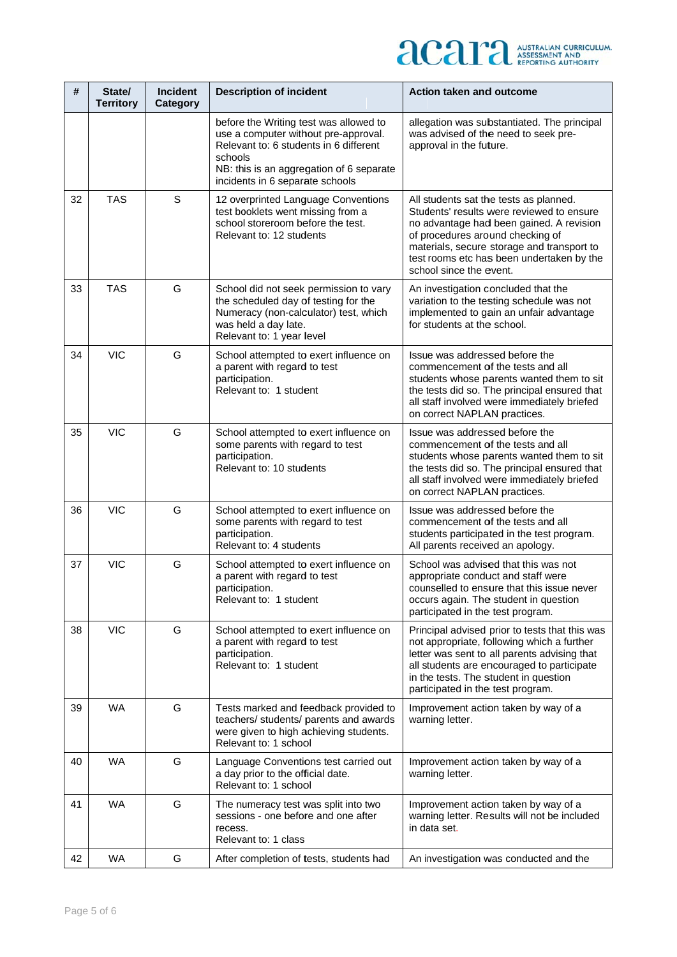

| #  | State/<br><b>Territory</b> | <b>Incident</b><br>Category | <b>Description of incident</b>                                                                                                                                                                                     | Action taken and outcome                                                                                                                                                                                                                                                                  |
|----|----------------------------|-----------------------------|--------------------------------------------------------------------------------------------------------------------------------------------------------------------------------------------------------------------|-------------------------------------------------------------------------------------------------------------------------------------------------------------------------------------------------------------------------------------------------------------------------------------------|
|    |                            |                             | before the Writing test was allowed to<br>use a computer without pre-approval.<br>Relevant to: 6 students in 6 different<br>schools<br>NB: this is an aggregation of 6 separate<br>incidents in 6 separate schools | allegation was substantiated. The principal<br>was advised of the need to seek pre-<br>approval in the future.                                                                                                                                                                            |
| 32 | <b>TAS</b>                 | $\mathsf S$                 | 12 overprinted Language Conventions<br>test booklets went missing from a<br>school storeroom before the test.<br>Relevant to: 12 students                                                                          | All students sat the tests as planned.<br>Students' results were reviewed to ensure<br>no advantage had been gained. A revision<br>of procedures around checking of<br>materials, secure storage and transport to<br>test rooms etc has been undertaken by the<br>school since the event. |
| 33 | <b>TAS</b>                 | G                           | School did not seek permission to vary<br>the scheduled day of testing for the<br>Numeracy (non-calculator) test, which<br>was held a day late.<br>Relevant to: 1 year level                                       | An investigation concluded that the<br>variation to the testing schedule was not<br>implemented to gain an unfair advantage<br>for students at the school.                                                                                                                                |
| 34 | <b>VIC</b>                 | G                           | School attempted to exert influence on<br>a parent with regard to test<br>participation.<br>Relevant to: 1 student                                                                                                 | Issue was addressed before the<br>commencement of the tests and all<br>students whose parents wanted them to sit<br>the tests did so. The principal ensured that<br>all staff involved were immediately briefed<br>on correct NAPLAN practices.                                           |
| 35 | <b>VIC</b>                 | G                           | School attempted to exert influence on<br>some parents with regard to test<br>participation.<br>Relevant to: 10 students                                                                                           | Issue was addressed before the<br>commencement of the tests and all<br>students whose parents wanted them to sit<br>the tests did so. The principal ensured that<br>all staff involved were immediately briefed<br>on correct NAPLAN practices.                                           |
| 36 | <b>VIC</b>                 | G                           | School attempted to exert influence on<br>some parents with regard to test<br>participation.<br>Relevant to: 4 students                                                                                            | Issue was addressed before the<br>commencement of the tests and all<br>students participated in the test program.<br>All parents received an apology.                                                                                                                                     |
| 37 | <b>VIC</b>                 | G                           | School attempted to exert influence on<br>a parent with regard to test<br>participation.<br>Relevant to: 1 student                                                                                                 | School was advised that this was not<br>appropriate conduct and staff were<br>counselled to ensure that this issue never<br>occurs again. The student in question<br>participated in the test program.                                                                                    |
| 38 | <b>VIC</b>                 | G                           | School attempted to exert influence on<br>a parent with regard to test<br>participation.<br>Relevant to: 1 student                                                                                                 | Principal advised prior to tests that this was<br>not appropriate, following which a further<br>letter was sent to all parents advising that<br>all students are encouraged to participate<br>in the tests. The student in question<br>participated in the test program.                  |
| 39 | <b>WA</b>                  | G                           | Tests marked and feedback provided to<br>teachers/ students/ parents and awards<br>were given to high achieving students.<br>Relevant to: 1 school                                                                 | Improvement action taken by way of a<br>warning letter.                                                                                                                                                                                                                                   |
| 40 | <b>WA</b>                  | G                           | Language Conventions test carried out<br>a day prior to the official date.<br>Relevant to: 1 school                                                                                                                | Improvement action taken by way of a<br>warning letter.                                                                                                                                                                                                                                   |
| 41 | <b>WA</b>                  | G                           | The numeracy test was split into two<br>sessions - one before and one after<br>recess.<br>Relevant to: 1 class                                                                                                     | Improvement action taken by way of a<br>warning letter. Results will not be included<br>in data set.                                                                                                                                                                                      |
| 42 | <b>WA</b>                  | G                           | After completion of tests, students had                                                                                                                                                                            | An investigation was conducted and the                                                                                                                                                                                                                                                    |